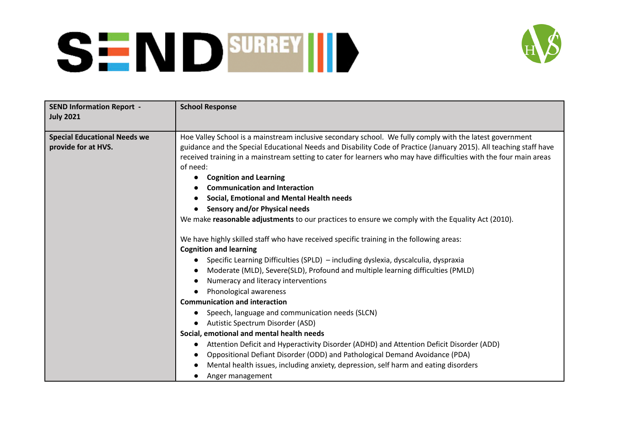

| <b>SEND Information Report -</b><br><b>July 2021</b>       | <b>School Response</b>                                                                                                                                                                                                         |
|------------------------------------------------------------|--------------------------------------------------------------------------------------------------------------------------------------------------------------------------------------------------------------------------------|
| <b>Special Educational Needs we</b><br>provide for at HVS. | Hoe Valley School is a mainstream inclusive secondary school. We fully comply with the latest government<br>guidance and the Special Educational Needs and Disability Code of Practice (January 2015). All teaching staff have |
|                                                            | received training in a mainstream setting to cater for learners who may have difficulties with the four main areas<br>of need:                                                                                                 |
|                                                            | <b>Cognition and Learning</b>                                                                                                                                                                                                  |
|                                                            | <b>Communication and Interaction</b>                                                                                                                                                                                           |
|                                                            | Social, Emotional and Mental Health needs                                                                                                                                                                                      |
|                                                            | Sensory and/or Physical needs                                                                                                                                                                                                  |
|                                                            | We make reasonable adjustments to our practices to ensure we comply with the Equality Act (2010).                                                                                                                              |
|                                                            | We have highly skilled staff who have received specific training in the following areas:<br><b>Cognition and learning</b>                                                                                                      |
|                                                            | Specific Learning Difficulties (SPLD) - including dyslexia, dyscalculia, dyspraxia<br>$\bullet$                                                                                                                                |
|                                                            | Moderate (MLD), Severe(SLD), Profound and multiple learning difficulties (PMLD)<br>$\bullet$                                                                                                                                   |
|                                                            | Numeracy and literacy interventions                                                                                                                                                                                            |
|                                                            | Phonological awareness                                                                                                                                                                                                         |
|                                                            | <b>Communication and interaction</b>                                                                                                                                                                                           |
|                                                            | Speech, language and communication needs (SLCN)                                                                                                                                                                                |
|                                                            | Autistic Spectrum Disorder (ASD)                                                                                                                                                                                               |
|                                                            | Social, emotional and mental health needs                                                                                                                                                                                      |
|                                                            | Attention Deficit and Hyperactivity Disorder (ADHD) and Attention Deficit Disorder (ADD)                                                                                                                                       |
|                                                            | Oppositional Defiant Disorder (ODD) and Pathological Demand Avoidance (PDA)                                                                                                                                                    |
|                                                            | Mental health issues, including anxiety, depression, self harm and eating disorders                                                                                                                                            |
|                                                            | Anger management                                                                                                                                                                                                               |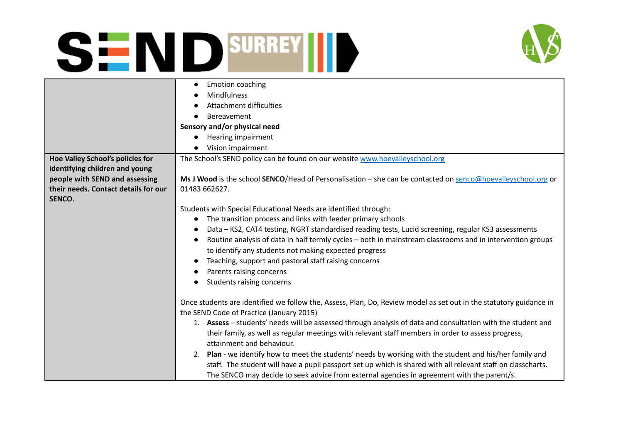

|                                      | <b>Emotion coaching</b>                                                                                                                                                                                                                                                                                                                                                                                                                                                                                                                                                                                                                                                                                                       |
|--------------------------------------|-------------------------------------------------------------------------------------------------------------------------------------------------------------------------------------------------------------------------------------------------------------------------------------------------------------------------------------------------------------------------------------------------------------------------------------------------------------------------------------------------------------------------------------------------------------------------------------------------------------------------------------------------------------------------------------------------------------------------------|
|                                      | Mindfulness                                                                                                                                                                                                                                                                                                                                                                                                                                                                                                                                                                                                                                                                                                                   |
|                                      | <b>Attachment difficulties</b>                                                                                                                                                                                                                                                                                                                                                                                                                                                                                                                                                                                                                                                                                                |
|                                      | Bereavement                                                                                                                                                                                                                                                                                                                                                                                                                                                                                                                                                                                                                                                                                                                   |
|                                      | Sensory and/or physical need                                                                                                                                                                                                                                                                                                                                                                                                                                                                                                                                                                                                                                                                                                  |
|                                      | <b>Hearing impairment</b>                                                                                                                                                                                                                                                                                                                                                                                                                                                                                                                                                                                                                                                                                                     |
|                                      | Vision impairment                                                                                                                                                                                                                                                                                                                                                                                                                                                                                                                                                                                                                                                                                                             |
| Hoe Valley School's policies for     | The School's SEND policy can be found on our website www.hoevalleyschool.org                                                                                                                                                                                                                                                                                                                                                                                                                                                                                                                                                                                                                                                  |
| identifying children and young       |                                                                                                                                                                                                                                                                                                                                                                                                                                                                                                                                                                                                                                                                                                                               |
| people with SEND and assessing       | Ms J Wood is the school SENCO/Head of Personalisation – she can be contacted on senco@hoevalleyschool.org or                                                                                                                                                                                                                                                                                                                                                                                                                                                                                                                                                                                                                  |
| their needs. Contact details for our | 01483 662627.                                                                                                                                                                                                                                                                                                                                                                                                                                                                                                                                                                                                                                                                                                                 |
| SENCO.                               |                                                                                                                                                                                                                                                                                                                                                                                                                                                                                                                                                                                                                                                                                                                               |
|                                      | Students with Special Educational Needs are identified through:                                                                                                                                                                                                                                                                                                                                                                                                                                                                                                                                                                                                                                                               |
|                                      | The transition process and links with feeder primary schools                                                                                                                                                                                                                                                                                                                                                                                                                                                                                                                                                                                                                                                                  |
|                                      | Data - KS2, CAT4 testing, NGRT standardised reading tests, Lucid screening, regular KS3 assessments<br>$\bullet$                                                                                                                                                                                                                                                                                                                                                                                                                                                                                                                                                                                                              |
|                                      | Routine analysis of data in half termly cycles - both in mainstream classrooms and in intervention groups<br>$\bullet$                                                                                                                                                                                                                                                                                                                                                                                                                                                                                                                                                                                                        |
|                                      |                                                                                                                                                                                                                                                                                                                                                                                                                                                                                                                                                                                                                                                                                                                               |
|                                      |                                                                                                                                                                                                                                                                                                                                                                                                                                                                                                                                                                                                                                                                                                                               |
|                                      |                                                                                                                                                                                                                                                                                                                                                                                                                                                                                                                                                                                                                                                                                                                               |
|                                      |                                                                                                                                                                                                                                                                                                                                                                                                                                                                                                                                                                                                                                                                                                                               |
|                                      |                                                                                                                                                                                                                                                                                                                                                                                                                                                                                                                                                                                                                                                                                                                               |
|                                      |                                                                                                                                                                                                                                                                                                                                                                                                                                                                                                                                                                                                                                                                                                                               |
|                                      | the SEND Code of Practice (January 2015)                                                                                                                                                                                                                                                                                                                                                                                                                                                                                                                                                                                                                                                                                      |
|                                      | 1. Assess - students' needs will be assessed through analysis of data and consultation with the student and                                                                                                                                                                                                                                                                                                                                                                                                                                                                                                                                                                                                                   |
|                                      |                                                                                                                                                                                                                                                                                                                                                                                                                                                                                                                                                                                                                                                                                                                               |
|                                      | attainment and behaviour.                                                                                                                                                                                                                                                                                                                                                                                                                                                                                                                                                                                                                                                                                                     |
|                                      |                                                                                                                                                                                                                                                                                                                                                                                                                                                                                                                                                                                                                                                                                                                               |
|                                      |                                                                                                                                                                                                                                                                                                                                                                                                                                                                                                                                                                                                                                                                                                                               |
|                                      |                                                                                                                                                                                                                                                                                                                                                                                                                                                                                                                                                                                                                                                                                                                               |
|                                      | to identify any students not making expected progress<br>Teaching, support and pastoral staff raising concerns<br>Parents raising concerns<br>Students raising concerns<br>Once students are identified we follow the, Assess, Plan, Do, Review model as set out in the statutory guidance in<br>their family, as well as regular meetings with relevant staff members in order to assess progress,<br>2. Plan - we identify how to meet the students' needs by working with the student and his/her family and<br>staff. The student will have a pupil passport set up which is shared with all relevant staff on classcharts.<br>The SENCO may decide to seek advice from external agencies in agreement with the parent/s. |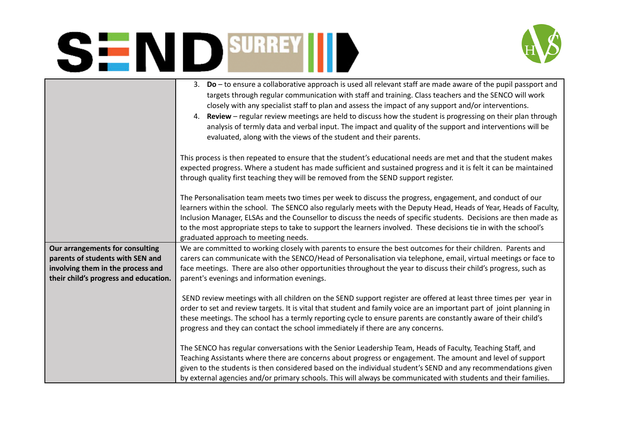

|                                                                                                                                                   | 3. Do - to ensure a collaborative approach is used all relevant staff are made aware of the pupil passport and<br>targets through regular communication with staff and training. Class teachers and the SENCO will work<br>closely with any specialist staff to plan and assess the impact of any support and/or interventions.<br>4. Review - regular review meetings are held to discuss how the student is progressing on their plan through<br>analysis of termly data and verbal input. The impact and quality of the support and interventions will be<br>evaluated, along with the views of the student and their parents. |
|---------------------------------------------------------------------------------------------------------------------------------------------------|-----------------------------------------------------------------------------------------------------------------------------------------------------------------------------------------------------------------------------------------------------------------------------------------------------------------------------------------------------------------------------------------------------------------------------------------------------------------------------------------------------------------------------------------------------------------------------------------------------------------------------------|
|                                                                                                                                                   | This process is then repeated to ensure that the student's educational needs are met and that the student makes<br>expected progress. Where a student has made sufficient and sustained progress and it is felt it can be maintained<br>through quality first teaching they will be removed from the SEND support register.                                                                                                                                                                                                                                                                                                       |
|                                                                                                                                                   | The Personalisation team meets two times per week to discuss the progress, engagement, and conduct of our<br>learners within the school. The SENCO also regularly meets with the Deputy Head, Heads of Year, Heads of Faculty,<br>Inclusion Manager, ELSAs and the Counsellor to discuss the needs of specific students. Decisions are then made as<br>to the most appropriate steps to take to support the learners involved. These decisions tie in with the school's<br>graduated approach to meeting needs.                                                                                                                   |
| Our arrangements for consulting<br>parents of students with SEN and<br>involving them in the process and<br>their child's progress and education. | We are committed to working closely with parents to ensure the best outcomes for their children. Parents and<br>carers can communicate with the SENCO/Head of Personalisation via telephone, email, virtual meetings or face to<br>face meetings. There are also other opportunities throughout the year to discuss their child's progress, such as<br>parent's evenings and information evenings.                                                                                                                                                                                                                                |
|                                                                                                                                                   | SEND review meetings with all children on the SEND support register are offered at least three times per year in<br>order to set and review targets. It is vital that student and family voice are an important part of joint planning in<br>these meetings. The school has a termly reporting cycle to ensure parents are constantly aware of their child's<br>progress and they can contact the school immediately if there are any concerns.                                                                                                                                                                                   |
|                                                                                                                                                   | The SENCO has regular conversations with the Senior Leadership Team, Heads of Faculty, Teaching Staff, and<br>Teaching Assistants where there are concerns about progress or engagement. The amount and level of support<br>given to the students is then considered based on the individual student's SEND and any recommendations given<br>by external agencies and/or primary schools. This will always be communicated with students and their families.                                                                                                                                                                      |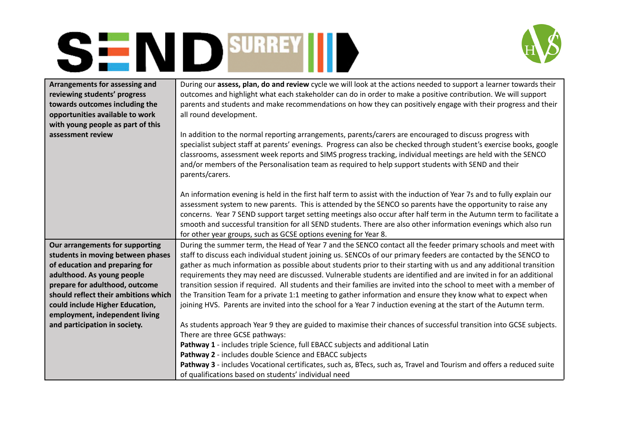

| Arrangements for assessing and       | During our assess, plan, do and review cycle we will look at the actions needed to support a learner towards their                                                                                                                                                                                                                                                                                                                                                        |
|--------------------------------------|---------------------------------------------------------------------------------------------------------------------------------------------------------------------------------------------------------------------------------------------------------------------------------------------------------------------------------------------------------------------------------------------------------------------------------------------------------------------------|
| reviewing students' progress         | outcomes and highlight what each stakeholder can do in order to make a positive contribution. We will support                                                                                                                                                                                                                                                                                                                                                             |
| towards outcomes including the       | parents and students and make recommendations on how they can positively engage with their progress and their                                                                                                                                                                                                                                                                                                                                                             |
| opportunities available to work      | all round development.                                                                                                                                                                                                                                                                                                                                                                                                                                                    |
| with young people as part of this    |                                                                                                                                                                                                                                                                                                                                                                                                                                                                           |
| assessment review                    | In addition to the normal reporting arrangements, parents/carers are encouraged to discuss progress with<br>specialist subject staff at parents' evenings. Progress can also be checked through student's exercise books, google<br>classrooms, assessment week reports and SIMS progress tracking, individual meetings are held with the SENCO<br>and/or members of the Personalisation team as required to help support students with SEND and their<br>parents/carers. |
|                                      | An information evening is held in the first half term to assist with the induction of Year 7s and to fully explain our                                                                                                                                                                                                                                                                                                                                                    |
|                                      | assessment system to new parents. This is attended by the SENCO so parents have the opportunity to raise any                                                                                                                                                                                                                                                                                                                                                              |
|                                      | concerns. Year 7 SEND support target setting meetings also occur after half term in the Autumn term to facilitate a                                                                                                                                                                                                                                                                                                                                                       |
|                                      | smooth and successful transition for all SEND students. There are also other information evenings which also run                                                                                                                                                                                                                                                                                                                                                          |
|                                      | for other year groups, such as GCSE options evening for Year 8.                                                                                                                                                                                                                                                                                                                                                                                                           |
| Our arrangements for supporting      | During the summer term, the Head of Year 7 and the SENCO contact all the feeder primary schools and meet with                                                                                                                                                                                                                                                                                                                                                             |
| students in moving between phases    | staff to discuss each individual student joining us. SENCOs of our primary feeders are contacted by the SENCO to                                                                                                                                                                                                                                                                                                                                                          |
| of education and preparing for       | gather as much information as possible about students prior to their starting with us and any additional transition                                                                                                                                                                                                                                                                                                                                                       |
| adulthood. As young people           | requirements they may need are discussed. Vulnerable students are identified and are invited in for an additional                                                                                                                                                                                                                                                                                                                                                         |
| prepare for adulthood, outcome       | transition session if required. All students and their families are invited into the school to meet with a member of                                                                                                                                                                                                                                                                                                                                                      |
| should reflect their ambitions which | the Transition Team for a private 1:1 meeting to gather information and ensure they know what to expect when                                                                                                                                                                                                                                                                                                                                                              |
| could include Higher Education,      | joining HVS. Parents are invited into the school for a Year 7 induction evening at the start of the Autumn term.                                                                                                                                                                                                                                                                                                                                                          |
| employment, independent living       |                                                                                                                                                                                                                                                                                                                                                                                                                                                                           |
| and participation in society.        | As students approach Year 9 they are guided to maximise their chances of successful transition into GCSE subjects.                                                                                                                                                                                                                                                                                                                                                        |
|                                      | There are three GCSE pathways:                                                                                                                                                                                                                                                                                                                                                                                                                                            |
|                                      | Pathway 1 - includes triple Science, full EBACC subjects and additional Latin                                                                                                                                                                                                                                                                                                                                                                                             |
|                                      | Pathway 2 - includes double Science and EBACC subjects                                                                                                                                                                                                                                                                                                                                                                                                                    |
|                                      | Pathway 3 - includes Vocational certificates, such as, BTecs, such as, Travel and Tourism and offers a reduced suite                                                                                                                                                                                                                                                                                                                                                      |
|                                      | of qualifications based on students' individual need                                                                                                                                                                                                                                                                                                                                                                                                                      |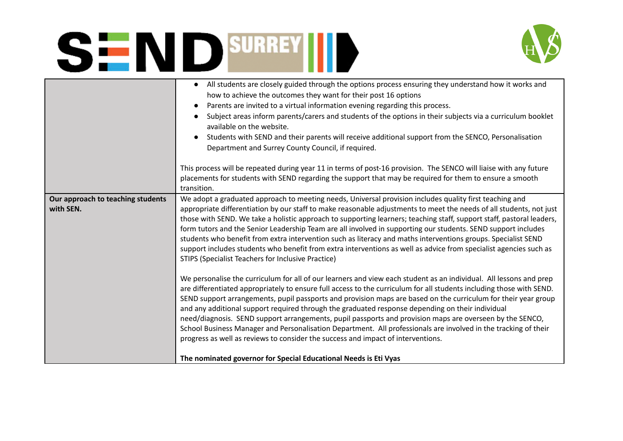

| transition.<br>Our approach to teaching students<br>with SEN.                                                                                        | All students are closely guided through the options process ensuring they understand how it works and<br>how to achieve the outcomes they want for their post 16 options<br>Parents are invited to a virtual information evening regarding this process.<br>Subject areas inform parents/carers and students of the options in their subjects via a curriculum booklet<br>available on the website.<br>Students with SEND and their parents will receive additional support from the SENCO, Personalisation<br>Department and Surrey County Council, if required.<br>This process will be repeated during year 11 in terms of post-16 provision. The SENCO will liaise with any future<br>placements for students with SEND regarding the support that may be required for them to ensure a smooth                                                                                                                                                                                                                                                                                                                                                                                                                                                                                                                                                                                                                                                                      |
|------------------------------------------------------------------------------------------------------------------------------------------------------|-------------------------------------------------------------------------------------------------------------------------------------------------------------------------------------------------------------------------------------------------------------------------------------------------------------------------------------------------------------------------------------------------------------------------------------------------------------------------------------------------------------------------------------------------------------------------------------------------------------------------------------------------------------------------------------------------------------------------------------------------------------------------------------------------------------------------------------------------------------------------------------------------------------------------------------------------------------------------------------------------------------------------------------------------------------------------------------------------------------------------------------------------------------------------------------------------------------------------------------------------------------------------------------------------------------------------------------------------------------------------------------------------------------------------------------------------------------------------|
|                                                                                                                                                      |                                                                                                                                                                                                                                                                                                                                                                                                                                                                                                                                                                                                                                                                                                                                                                                                                                                                                                                                                                                                                                                                                                                                                                                                                                                                                                                                                                                                                                                                         |
|                                                                                                                                                      |                                                                                                                                                                                                                                                                                                                                                                                                                                                                                                                                                                                                                                                                                                                                                                                                                                                                                                                                                                                                                                                                                                                                                                                                                                                                                                                                                                                                                                                                         |
| progress as well as reviews to consider the success and impact of interventions.<br>The nominated governor for Special Educational Needs is Eti Vyas | We adopt a graduated approach to meeting needs, Universal provision includes quality first teaching and<br>appropriate differentiation by our staff to make reasonable adjustments to meet the needs of all students, not just<br>those with SEND. We take a holistic approach to supporting learners; teaching staff, support staff, pastoral leaders,<br>form tutors and the Senior Leadership Team are all involved in supporting our students. SEND support includes<br>students who benefit from extra intervention such as literacy and maths interventions groups. Specialist SEND<br>support includes students who benefit from extra interventions as well as advice from specialist agencies such as<br>STIPS (Specialist Teachers for Inclusive Practice)<br>We personalise the curriculum for all of our learners and view each student as an individual. All lessons and prep<br>are differentiated appropriately to ensure full access to the curriculum for all students including those with SEND.<br>SEND support arrangements, pupil passports and provision maps are based on the curriculum for their year group<br>and any additional support required through the graduated response depending on their individual<br>need/diagnosis. SEND support arrangements, pupil passports and provision maps are overseen by the SENCO,<br>School Business Manager and Personalisation Department. All professionals are involved in the tracking of their |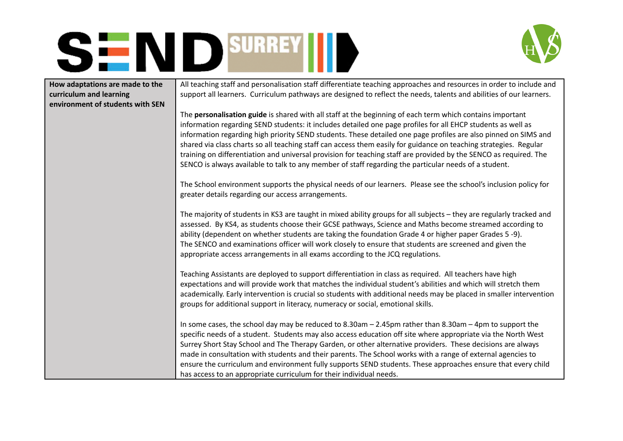



| How adaptations are made to the<br>curriculum and learning<br>environment of students with SEN | All teaching staff and personalisation staff differentiate teaching approaches and resources in order to include and<br>support all learners. Curriculum pathways are designed to reflect the needs, talents and abilities of our learners.                                                                                                                                                                                                                                                                                                                                                                                                                                                     |
|------------------------------------------------------------------------------------------------|-------------------------------------------------------------------------------------------------------------------------------------------------------------------------------------------------------------------------------------------------------------------------------------------------------------------------------------------------------------------------------------------------------------------------------------------------------------------------------------------------------------------------------------------------------------------------------------------------------------------------------------------------------------------------------------------------|
|                                                                                                | The personalisation guide is shared with all staff at the beginning of each term which contains important<br>information regarding SEND students: it includes detailed one page profiles for all EHCP students as well as<br>information regarding high priority SEND students. These detailed one page profiles are also pinned on SIMS and<br>shared via class charts so all teaching staff can access them easily for guidance on teaching strategies. Regular<br>training on differentiation and universal provision for teaching staff are provided by the SENCO as required. The<br>SENCO is always available to talk to any member of staff regarding the particular needs of a student. |
|                                                                                                | The School environment supports the physical needs of our learners. Please see the school's inclusion policy for<br>greater details regarding our access arrangements.                                                                                                                                                                                                                                                                                                                                                                                                                                                                                                                          |
|                                                                                                | The majority of students in KS3 are taught in mixed ability groups for all subjects - they are regularly tracked and<br>assessed. By KS4, as students choose their GCSE pathways, Science and Maths become streamed according to<br>ability (dependent on whether students are taking the foundation Grade 4 or higher paper Grades 5-9).<br>The SENCO and examinations officer will work closely to ensure that students are screened and given the<br>appropriate access arrangements in all exams according to the JCQ regulations.                                                                                                                                                          |
|                                                                                                | Teaching Assistants are deployed to support differentiation in class as required. All teachers have high<br>expectations and will provide work that matches the individual student's abilities and which will stretch them<br>academically. Early intervention is crucial so students with additional needs may be placed in smaller intervention<br>groups for additional support in literacy, numeracy or social, emotional skills.                                                                                                                                                                                                                                                           |
|                                                                                                | In some cases, the school day may be reduced to $8.30$ am $- 2.45$ pm rather than $8.30$ am $- 4$ pm to support the<br>specific needs of a student. Students may also access education off site where appropriate via the North West<br>Surrey Short Stay School and The Therapy Garden, or other alternative providers. These decisions are always<br>made in consultation with students and their parents. The School works with a range of external agencies to<br>ensure the curriculum and environment fully supports SEND students. These approaches ensure that every child<br>has access to an appropriate curriculum for their individual needs.                                       |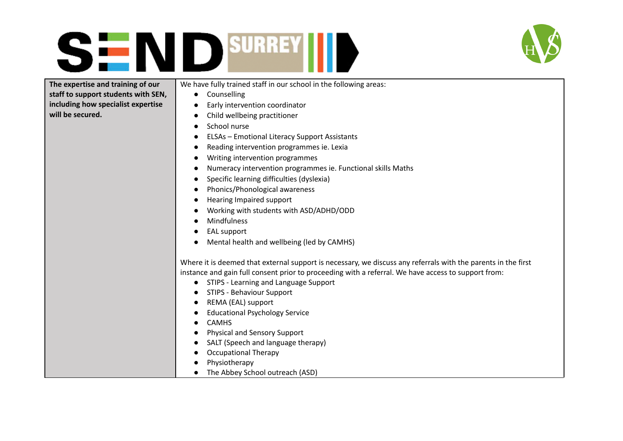



#### **The expertise and training of our staff to support students with SEN, including how specialist expertise will be secured.**

We have fully trained staff in our school in the following areas:

- Counselling
- Early intervention coordinator
- Child wellbeing practitioner
- School nurse
- **ELSAs Emotional Literacy Support Assistants**
- Reading intervention programmes ie. Lexia
- Writing intervention programmes
- Numeracy intervention programmes ie. Functional skills Maths
- Specific learning difficulties (dyslexia)
- Phonics/Phonological awareness
- Hearing Impaired support
- Working with students with ASD/ADHD/ODD
- Mindfulness
- EAL support
- Mental health and wellbeing (led by CAMHS)

Where it is deemed that external support is necessary, we discuss any referrals with the parents in the first instance and gain full consent prior to proceeding with a referral. We have access to support from:

- STIPS Learning and Language Support
- STIPS Behaviour Support
- REMA (EAL) support
- Educational Psychology Service
- CAMHS
- Physical and Sensory Support
- SALT (Speech and language therapy)
- Occupational Therapy
- Physiotherapy
- The Abbey School outreach (ASD)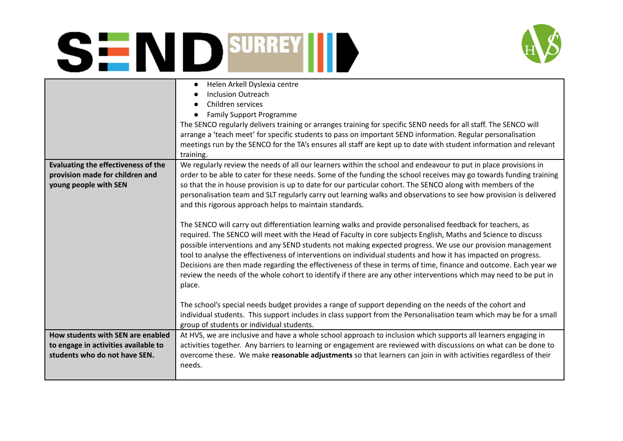

|                                      | Helen Arkell Dyslexia centre<br><b>Inclusion Outreach</b><br>Children services                                     |
|--------------------------------------|--------------------------------------------------------------------------------------------------------------------|
|                                      | <b>Family Support Programme</b>                                                                                    |
|                                      |                                                                                                                    |
|                                      | The SENCO regularly delivers training or arranges training for specific SEND needs for all staff. The SENCO will   |
|                                      | arrange a 'teach meet' for specific students to pass on important SEND information. Regular personalisation        |
|                                      | meetings run by the SENCO for the TA's ensures all staff are kept up to date with student information and relevant |
|                                      | training.                                                                                                          |
| Evaluating the effectiveness of the  | We regularly review the needs of all our learners within the school and endeavour to put in place provisions in    |
| provision made for children and      | order to be able to cater for these needs. Some of the funding the school receives may go towards funding training |
| young people with SEN                | so that the in house provision is up to date for our particular cohort. The SENCO along with members of the        |
|                                      | personalisation team and SLT regularly carry out learning walks and observations to see how provision is delivered |
|                                      | and this rigorous approach helps to maintain standards.                                                            |
|                                      |                                                                                                                    |
|                                      | The SENCO will carry out differentiation learning walks and provide personalised feedback for teachers, as         |
|                                      | required. The SENCO will meet with the Head of Faculty in core subjects English, Maths and Science to discuss      |
|                                      | possible interventions and any SEND students not making expected progress. We use our provision management         |
|                                      | tool to analyse the effectiveness of interventions on individual students and how it has impacted on progress.     |
|                                      | Decisions are then made regarding the effectiveness of these in terms of time, finance and outcome. Each year we   |
|                                      | review the needs of the whole cohort to identify if there are any other interventions which may need to be put in  |
|                                      | place.                                                                                                             |
|                                      |                                                                                                                    |
|                                      | The school's special needs budget provides a range of support depending on the needs of the cohort and             |
|                                      | individual students. This support includes in class support from the Personalisation team which may be for a small |
|                                      | group of students or individual students.                                                                          |
| How students with SEN are enabled    | At HVS, we are inclusive and have a whole school approach to inclusion which supports all learners engaging in     |
| to engage in activities available to | activities together. Any barriers to learning or engagement are reviewed with discussions on what can be done to   |
| students who do not have SEN.        | overcome these. We make reasonable adjustments so that learners can join in with activities regardless of their    |
|                                      | needs.                                                                                                             |
|                                      |                                                                                                                    |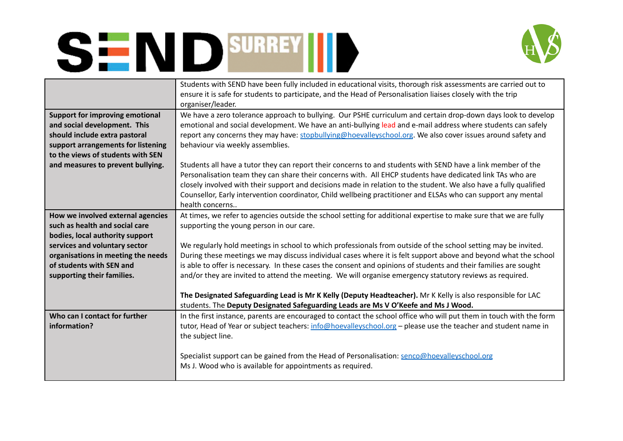

|                                        | Students with SEND have been fully included in educational visits, thorough risk assessments are carried out to<br>ensure it is safe for students to participate, and the Head of Personalisation liaises closely with the trip<br>organiser/leader. |
|----------------------------------------|------------------------------------------------------------------------------------------------------------------------------------------------------------------------------------------------------------------------------------------------------|
|                                        |                                                                                                                                                                                                                                                      |
| <b>Support for improving emotional</b> | We have a zero tolerance approach to bullying. Our PSHE curriculum and certain drop-down days look to develop                                                                                                                                        |
| and social development. This           | emotional and social development. We have an anti-bullying lead and e-mail address where students can safely                                                                                                                                         |
| should include extra pastoral          | report any concerns they may have: stopbullying@hoevalleyschool.org. We also cover issues around safety and                                                                                                                                          |
| support arrangements for listening     | behaviour via weekly assemblies.                                                                                                                                                                                                                     |
| to the views of students with SEN      |                                                                                                                                                                                                                                                      |
| and measures to prevent bullying.      | Students all have a tutor they can report their concerns to and students with SEND have a link member of the                                                                                                                                         |
|                                        | Personalisation team they can share their concerns with. All EHCP students have dedicated link TAs who are                                                                                                                                           |
|                                        | closely involved with their support and decisions made in relation to the student. We also have a fully qualified                                                                                                                                    |
|                                        | Counsellor, Early intervention coordinator, Child wellbeing practitioner and ELSAs who can support any mental                                                                                                                                        |
|                                        | health concerns                                                                                                                                                                                                                                      |
|                                        |                                                                                                                                                                                                                                                      |
| How we involved external agencies      | At times, we refer to agencies outside the school setting for additional expertise to make sure that we are fully                                                                                                                                    |
| such as health and social care         | supporting the young person in our care.                                                                                                                                                                                                             |
| bodies, local authority support        |                                                                                                                                                                                                                                                      |
| services and voluntary sector          | We regularly hold meetings in school to which professionals from outside of the school setting may be invited.                                                                                                                                       |
| organisations in meeting the needs     | During these meetings we may discuss individual cases where it is felt support above and beyond what the school                                                                                                                                      |
| of students with SEN and               | is able to offer is necessary. In these cases the consent and opinions of students and their families are sought                                                                                                                                     |
| supporting their families.             | and/or they are invited to attend the meeting. We will organise emergency statutory reviews as required.                                                                                                                                             |
|                                        |                                                                                                                                                                                                                                                      |
|                                        | The Designated Safeguarding Lead is Mr K Kelly (Deputy Headteacher). Mr K Kelly is also responsible for LAC                                                                                                                                          |
|                                        |                                                                                                                                                                                                                                                      |
|                                        | students. The Deputy Designated Safeguarding Leads are Ms V O'Keefe and Ms J Wood.                                                                                                                                                                   |
| Who can I contact for further          | In the first instance, parents are encouraged to contact the school office who will put them in touch with the form                                                                                                                                  |
| information?                           | tutor, Head of Year or subject teachers: info@hoevalleyschool.org - please use the teacher and student name in                                                                                                                                       |
|                                        | the subject line.                                                                                                                                                                                                                                    |
|                                        |                                                                                                                                                                                                                                                      |
|                                        | Specialist support can be gained from the Head of Personalisation: senco@hoevalleyschool.org                                                                                                                                                         |
|                                        |                                                                                                                                                                                                                                                      |
|                                        | Ms J. Wood who is available for appointments as required.                                                                                                                                                                                            |
|                                        |                                                                                                                                                                                                                                                      |